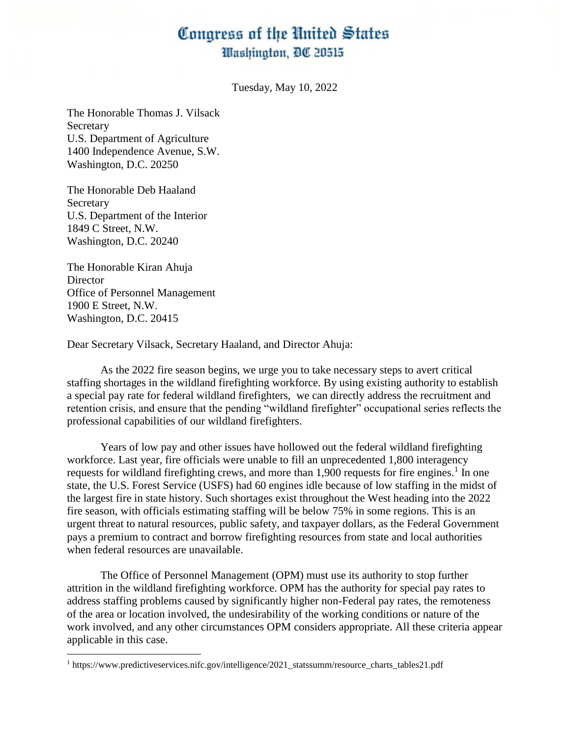## Congress of the United States Washington, DC 20515

Tuesday, May 10, 2022

The Honorable Thomas J. Vilsack Secretary U.S. Department of Agriculture 1400 Independence Avenue, S.W. Washington, D.C. 20250

The Honorable Deb Haaland Secretary U.S. Department of the Interior 1849 C Street, N.W. Washington, D.C. 20240

The Honorable Kiran Ahuja **Director** Office of Personnel Management 1900 E Street, N.W. Washington, D.C. 20415

 $\overline{\phantom{a}}$ 

Dear Secretary Vilsack, Secretary Haaland, and Director Ahuja:

As the 2022 fire season begins, we urge you to take necessary steps to avert critical staffing shortages in the wildland firefighting workforce. By using existing authority to establish a special pay rate for federal wildland firefighters, we can directly address the recruitment and retention crisis, and ensure that the pending "wildland firefighter" occupational series reflects the professional capabilities of our wildland firefighters.

Years of low pay and other issues have hollowed out the federal wildland firefighting workforce. Last year, fire officials were unable to fill an unprecedented 1,800 interagency requests for wildland firefighting crews, and more than 1,900 requests for fire engines.<sup>1</sup> In one state, the U.S. Forest Service (USFS) had 60 engines idle because of low staffing in the midst of the largest fire in state history. Such shortages exist throughout the West heading into the 2022 fire season, with officials estimating staffing will be below 75% in some regions. This is an urgent threat to natural resources, public safety, and taxpayer dollars, as the Federal Government pays a premium to contract and borrow firefighting resources from state and local authorities when federal resources are unavailable.

The Office of Personnel Management (OPM) must use its authority to stop further attrition in the wildland firefighting workforce. OPM has the authority for special pay rates to address staffing problems caused by significantly higher non-Federal pay rates, the remoteness of the area or location involved, the undesirability of the working conditions or nature of the work involved, and any other circumstances OPM considers appropriate. All these criteria appear applicable in this case.

<sup>1</sup> https://www.predictiveservices.nifc.gov/intelligence/2021\_statssumm/resource\_charts\_tables21.pdf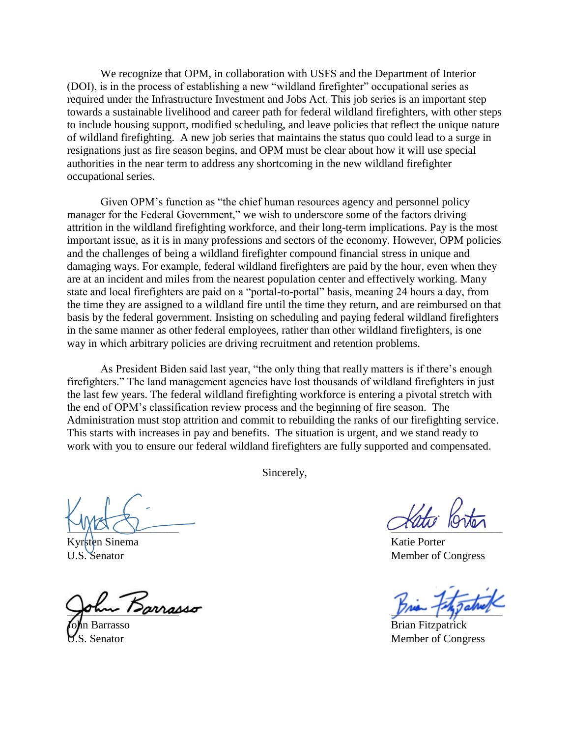We recognize that OPM, in collaboration with USFS and the Department of Interior (DOI), is in the process of establishing a new "wildland firefighter" occupational series as required under the Infrastructure Investment and Jobs Act. This job series is an important step towards a sustainable livelihood and career path for federal wildland firefighters, with other steps to include housing support, modified scheduling, and leave policies that reflect the unique nature of wildland firefighting. A new job series that maintains the status quo could lead to a surge in resignations just as fire season begins, and OPM must be clear about how it will use special authorities in the near term to address any shortcoming in the new wildland firefighter occupational series.

Given OPM's function as "the chief human resources agency and personnel policy manager for the Federal Government," we wish to underscore some of the factors driving attrition in the wildland firefighting workforce, and their long-term implications. Pay is the most important issue, as it is in many professions and sectors of the economy. However, OPM policies and the challenges of being a wildland firefighter compound financial stress in unique and damaging ways. For example, federal wildland firefighters are paid by the hour, even when they are at an incident and miles from the nearest population center and effectively working. Many state and local firefighters are paid on a "portal-to-portal" basis, meaning 24 hours a day, from the time they are assigned to a wildland fire until the time they return, and are reimbursed on that basis by the federal government. Insisting on scheduling and paying federal wildland firefighters in the same manner as other federal employees, rather than other wildland firefighters, is one way in which arbitrary policies are driving recruitment and retention problems.

As President Biden said last year, "the only thing that really matters is if there's enough firefighters." The land management agencies have lost thousands of wildland firefighters in just the last few years. The federal wildland firefighting workforce is entering a pivotal stretch with the end of OPM's classification review process and the beginning of fire season. The Administration must stop attrition and commit to rebuilding the ranks of our firefighting service. This starts with increases in pay and benefits. The situation is urgent, and we stand ready to work with you to ensure our federal wildland firefighters are fully supported and compensated.

Sincerely,

 $\sim$ 

 $\sqrt{m}$   $\sqrt{m}$   $\sqrt{m}$ 

n Sinema Katie Porter U.S. Senator Member of Congress

n Barrasso Brian Fitzpatrick S. Senator Member of Congress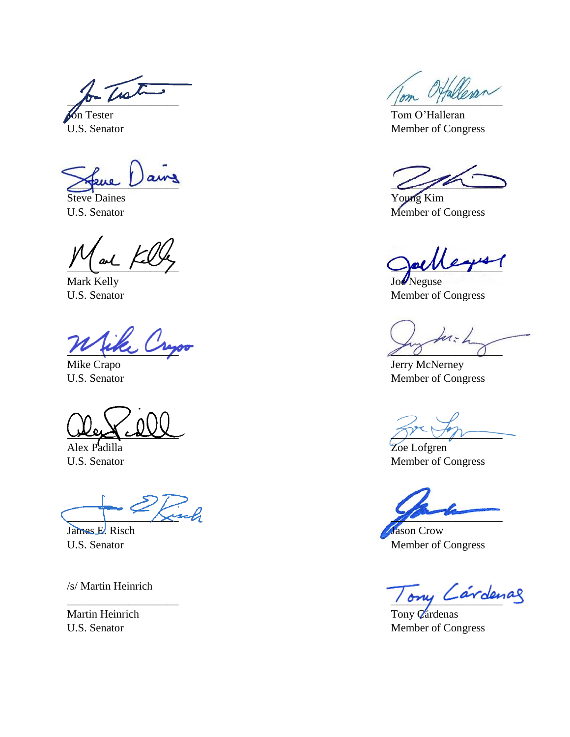2 - Twith City alleran

Steve Daines Young Kim

Mark Kelly Joe Neguse

 $\overline{\phantom{a}}$ 

 $\frac{1}{2}$ 

Alex Padilla Zoe Lofgren

 $\lambda$ usch

James E. Risch Jason Crow

/s/ Martin Heinrich

**Jon** Tester Tom O'Halleran U.S. Senator Member of Congress

 $\bigwedge$ 

U.S. Senator Member of Congress

 $\frac{1}{2}$ 

U.S. Senator Member of Congress

ka: L

Mike Crapo **Jerry McNerney** U.S. Senator Member of Congress

U.S. Senator Member of Congress

U.S. Senator Member of Congress

 $\frac{1}{\omega}$ 

Martin Heinrich Tony Q'árdenas U.S. Senator Member of Congress